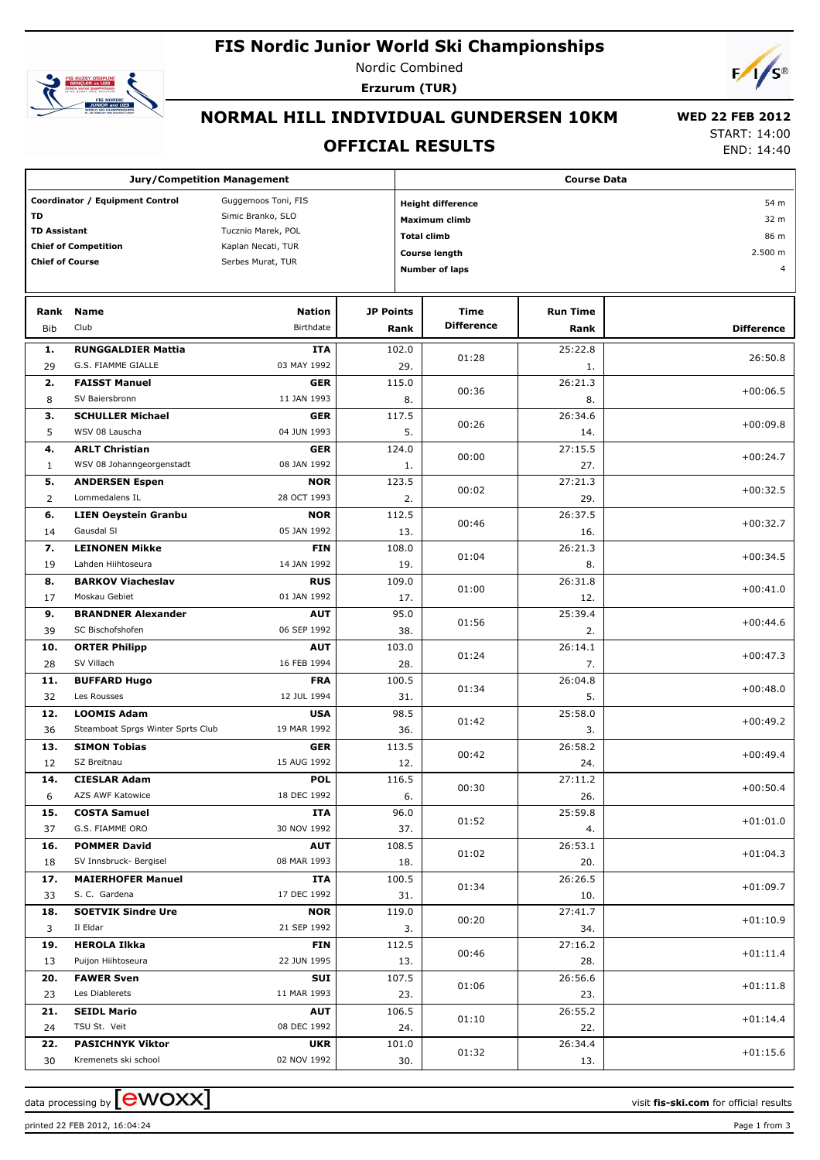# **FIS Nordic Junior World Ski Championships**



Nordic Combined **Erzurum (TUR)**



# **NORMAL HILL INDIVIDUAL GUNDERSEN 10KM**

#### **OFFICIAL RESULTS**

 **WED 22 FEB 2012** START: 14:00

END: 14:40

| <b>Jury/Competition Management</b>                     |                                                          |                           |                    | <b>Course Data</b>               |                   |                 |                   |  |  |
|--------------------------------------------------------|----------------------------------------------------------|---------------------------|--------------------|----------------------------------|-------------------|-----------------|-------------------|--|--|
| Coordinator / Equipment Control<br>Guggemoos Toni, FIS |                                                          |                           |                    | <b>Height difference</b><br>54 m |                   |                 |                   |  |  |
| TD<br>Simic Branko, SLO                                |                                                          |                           |                    | <b>Maximum climb</b>             |                   |                 |                   |  |  |
| <b>TD Assistant</b>                                    |                                                          | Tucznio Marek, POL        | <b>Total climb</b> |                                  |                   |                 | 32 m<br>86 m      |  |  |
|                                                        | <b>Chief of Competition</b>                              | Kaplan Necati, TUR        |                    |                                  |                   |                 | 2.500 m           |  |  |
| <b>Chief of Course</b>                                 |                                                          | Serbes Murat, TUR         |                    | Course length                    |                   |                 |                   |  |  |
|                                                        |                                                          |                           |                    | <b>Number of laps</b>            |                   |                 |                   |  |  |
|                                                        |                                                          |                           |                    |                                  |                   |                 |                   |  |  |
| Rank                                                   | <b>Name</b>                                              | <b>Nation</b>             | <b>JP Points</b>   |                                  | Time              | <b>Run Time</b> |                   |  |  |
| <b>Bib</b>                                             | Club                                                     | Birthdate                 |                    | Rank                             | <b>Difference</b> | Rank            | <b>Difference</b> |  |  |
| 1.                                                     | <b>RUNGGALDIER Mattia</b>                                | <b>ITA</b>                |                    | 102.0                            |                   | 25:22.8         |                   |  |  |
| 29                                                     | G.S. FIAMME GIALLE                                       | 03 MAY 1992               |                    | 29.                              | 01:28             | 1.              | 26:50.8           |  |  |
| 2.                                                     | <b>FAISST Manuel</b>                                     | <b>GER</b>                |                    | 115.0                            |                   | 26:21.3         |                   |  |  |
| 8                                                      | SV Baiersbronn                                           | 11 JAN 1993               |                    | 8.                               | 00:36             | 8.              | $+00:06.5$        |  |  |
| з.                                                     | <b>SCHULLER Michael</b>                                  | <b>GER</b>                |                    | 117.5                            |                   | 26:34.6         |                   |  |  |
| 5                                                      | WSV 08 Lauscha                                           | 04 JUN 1993               |                    | 5.                               | 00:26             | 14.             | $+00:09.8$        |  |  |
| 4.                                                     | <b>ARLT Christian</b>                                    | <b>GER</b>                |                    | 124.0                            |                   | 27:15.5         |                   |  |  |
| $\mathbf{1}$                                           | WSV 08 Johanngeorgenstadt                                | 08 JAN 1992               |                    | 1.                               | 00:00             | 27.             | $+00:24.7$        |  |  |
| 5.                                                     | <b>ANDERSEN Espen</b>                                    | <b>NOR</b>                |                    | 123.5                            |                   | 27:21.3         |                   |  |  |
| $\overline{2}$                                         | Lommedalens IL                                           | 28 OCT 1993               |                    | 2.                               | 00:02             | 29.             | $+00:32.5$        |  |  |
| 6.                                                     | <b>LIEN Oeystein Granbu</b>                              | <b>NOR</b>                |                    | 112.5                            |                   | 26:37.5         |                   |  |  |
| 14                                                     | Gausdal SI                                               | 05 JAN 1992               |                    | 13.                              | 00:46             | 16.             | $+00:32.7$        |  |  |
| 7.                                                     | <b>LEINONEN Mikke</b>                                    | <b>FIN</b>                |                    | 108.0                            | 01:04             | 26:21.3         | $+00:34.5$        |  |  |
| 19                                                     | Lahden Hiihtoseura                                       | 14 JAN 1992               |                    | 19.                              |                   | 8.              |                   |  |  |
| 8.                                                     | <b>BARKOV Viacheslav</b>                                 | <b>RUS</b>                |                    | 109.0                            | 01:00             | 26:31.8         | $+00:41.0$        |  |  |
| 17                                                     | Moskau Gebiet                                            | 01 JAN 1992               |                    | 17.                              |                   | 12.             |                   |  |  |
| 9.                                                     | <b>BRANDNER Alexander</b>                                | <b>AUT</b>                |                    | 95.0                             | 01:56             | 25:39.4         | $+00:44.6$        |  |  |
| 39                                                     | SC Bischofshofen                                         | 06 SEP 1992               |                    | 38.                              |                   | 2.              |                   |  |  |
| 10.                                                    | <b>ORTER Philipp</b>                                     | <b>AUT</b>                |                    | 103.0                            | 01:24             | 26:14.1         | $+00:47.3$        |  |  |
| 28                                                     | SV Villach                                               | 16 FEB 1994               |                    | 28.                              |                   | 7.              |                   |  |  |
| 11.                                                    | <b>BUFFARD Hugo</b>                                      | <b>FRA</b>                |                    | 100.5                            | 01:34             | 26:04.8         | $+00:48.0$        |  |  |
| 32                                                     | Les Rousses                                              | 12 JUL 1994               |                    | 31.                              |                   | 5.              |                   |  |  |
| 12.                                                    | <b>LOOMIS Adam</b>                                       | <b>USA</b>                |                    | 98.5                             | 01:42             | 25:58.0         | $+00:49.2$        |  |  |
| 36                                                     | Steamboat Sprgs Winter Sprts Club<br><b>SIMON Tobias</b> | 19 MAR 1992<br><b>GER</b> |                    | 36.                              |                   | 3.<br>26:58.2   |                   |  |  |
| 13.<br>12                                              | SZ Breitnau                                              | 15 AUG 1992               |                    | 113.5<br>12.                     | 00:42             | 24.             | $+00:49.4$        |  |  |
| 14.                                                    | <b>CIESLAR Adam</b>                                      | <b>POL</b>                |                    | 116.5                            |                   | 27:11.2         |                   |  |  |
| 6                                                      | AZS AWF Katowice                                         | 18 DEC 1992               |                    | 6.                               | 00:30             | 26.             | $+00:50.4$        |  |  |
| 15.                                                    | <b>COSTA Samuel</b>                                      | <b>ITA</b>                |                    | 96.0                             |                   | 25:59.8         |                   |  |  |
| 37                                                     | G.S. FIAMME ORO                                          | 30 NOV 1992               |                    | 37.                              | 01:52             | 4.              | $+01:01.0$        |  |  |
| 16.                                                    | <b>POMMER David</b>                                      | <b>AUT</b>                |                    | 108.5                            |                   | 26:53.1         |                   |  |  |
| 18                                                     | SV Innsbruck- Bergisel                                   | 08 MAR 1993               |                    | 18.                              | 01:02             | 20.             | $+01:04.3$        |  |  |
| 17.                                                    | <b>MAIERHOFER Manuel</b>                                 | ITA                       |                    | 100.5                            |                   | 26:26.5         |                   |  |  |
| 33                                                     | S. C. Gardena                                            | 17 DEC 1992               |                    | 31.                              | 01:34             | 10.             | $+01:09.7$        |  |  |
| 18.                                                    | <b>SOETVIK Sindre Ure</b>                                | <b>NOR</b>                |                    | 119.0                            |                   | 27:41.7         |                   |  |  |
| 3                                                      | Il Eldar                                                 | 21 SEP 1992               |                    | 3.                               | 00:20             | 34.             | $+01:10.9$        |  |  |
| 19.                                                    | <b>HEROLA Ilkka</b>                                      | <b>FIN</b>                |                    | 112.5                            |                   | 27:16.2         |                   |  |  |
| 13                                                     | Puijon Hiihtoseura                                       | 22 JUN 1995               |                    | 13.                              | 00:46             | 28.             | $+01:11.4$        |  |  |
| 20.                                                    | <b>FAWER Sven</b>                                        | <b>SUI</b>                |                    | 107.5                            | 01:06             | 26:56.6         |                   |  |  |
| 23                                                     | Les Diablerets                                           | 11 MAR 1993               |                    | 23.                              |                   | 23.             | $+01:11.8$        |  |  |
| 21.                                                    | <b>SEIDL Mario</b>                                       | <b>AUT</b>                |                    | 106.5                            | 01:10             | 26:55.2         | $+01:14.4$        |  |  |
| 24                                                     | TSU St. Veit                                             | 08 DEC 1992               |                    | 24.                              |                   | 22.             |                   |  |  |
| 22.                                                    | <b>PASICHNYK Viktor</b>                                  | <b>UKR</b>                |                    | 101.0                            | 01:32             | 26:34.4         | $+01:15.6$        |  |  |
| 30                                                     | Kremenets ski school                                     | 02 NOV 1992               |                    | 30.                              |                   | 13.             |                   |  |  |

data processing by **CWOXX**  $\blacksquare$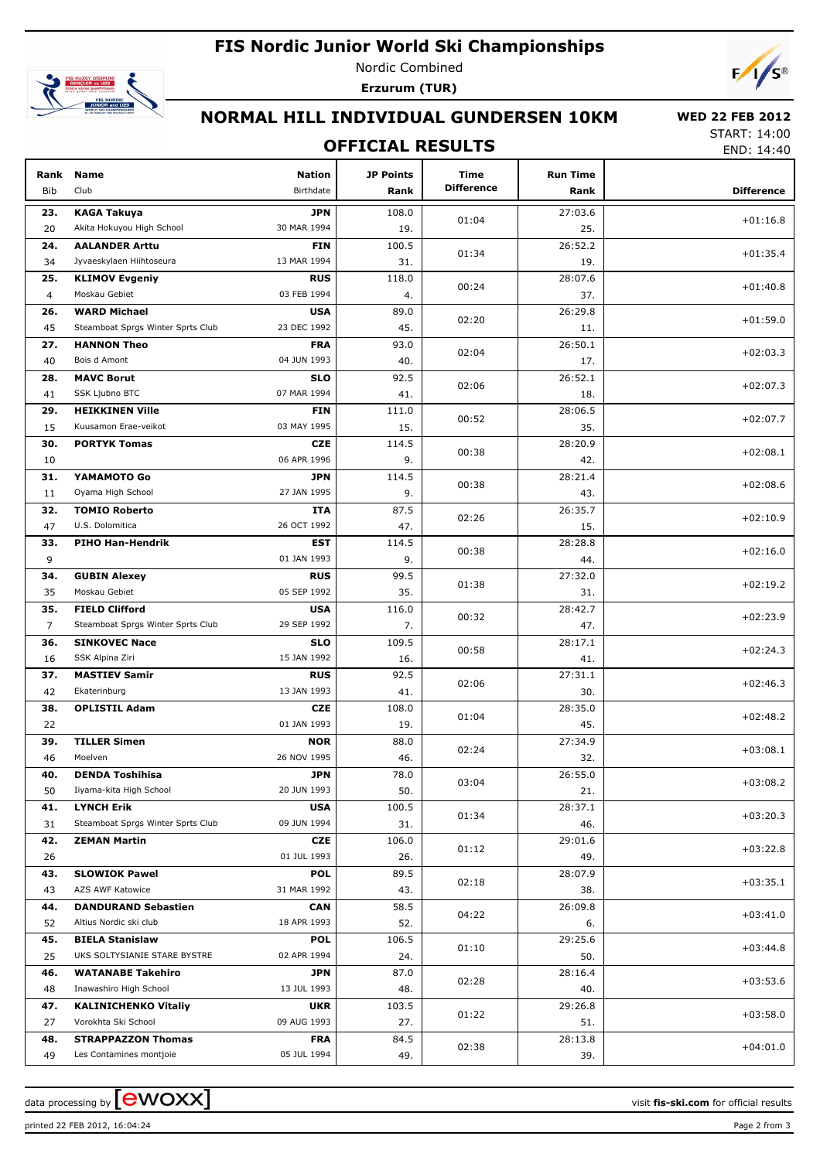## **FIS Nordic Junior World Ski Championships**



Nordic Combined **Erzurum (TUR)**



# **NORMAL HILL INDIVIDUAL GUNDERSEN 10KM**

## **OFFICIAL RESULTS**

 **WED 22 FEB 2012** START: 14:00

END: 14:40

| Rank<br>Bib    | Name<br>Club                                         | <b>Nation</b><br>Birthdate | <b>JP Points</b><br>Rank | Time<br><b>Difference</b> | <b>Run Time</b><br>Rank | <b>Difference</b> |
|----------------|------------------------------------------------------|----------------------------|--------------------------|---------------------------|-------------------------|-------------------|
| 23.            | <b>KAGA Takuya</b>                                   | JPN                        | 108.0                    |                           | 27:03.6                 |                   |
| 20             | Akita Hokuyou High School                            | 30 MAR 1994                | 19.                      | 01:04                     | 25.                     | $+01:16.8$        |
| 24.            | <b>AALANDER Arttu</b>                                | <b>FIN</b>                 | 100.5                    |                           | 26:52.2                 |                   |
| 34             | Jyvaeskylaen Hiihtoseura                             | 13 MAR 1994                | 31.                      | 01:34                     | 19.                     | $+01:35.4$        |
| 25.            | <b>KLIMOV Evgeniy</b>                                | <b>RUS</b>                 | 118.0                    |                           | 28:07.6                 |                   |
| 4              | Moskau Gebiet                                        | 03 FEB 1994                | 4.                       | 00:24                     | 37.                     | $+01:40.8$        |
| 26.            | <b>WARD Michael</b>                                  | <b>USA</b>                 | 89.0                     |                           | 26:29.8                 |                   |
| 45             | Steamboat Sprgs Winter Sprts Club                    | 23 DEC 1992                | 45.                      | 02:20                     | 11.                     | $+01:59.0$        |
| 27.            | <b>HANNON Theo</b>                                   | <b>FRA</b>                 | 93.0                     |                           | 26:50.1                 |                   |
| 40             | Bois d Amont                                         | 04 JUN 1993                | 40.                      | 02:04                     | 17.                     | $+02:03.3$        |
| 28.            | <b>MAVC Borut</b>                                    | <b>SLO</b>                 | 92.5                     |                           | 26:52.1                 |                   |
| 41             | SSK Ljubno BTC                                       | 07 MAR 1994                | 41.                      | 02:06                     | 18.                     | $+02:07.3$        |
| 29.            | <b>HEIKKINEN Ville</b>                               | <b>FIN</b>                 | 111.0                    | 00:52                     | 28:06.5                 | $+02:07.7$        |
| 15             | Kuusamon Erae-veikot                                 | 03 MAY 1995                | 15.                      |                           | 35.                     |                   |
| 30.            | <b>PORTYK Tomas</b>                                  | <b>CZE</b>                 | 114.5                    | 00:38                     | 28:20.9                 | $+02:08.1$        |
| 10             |                                                      | 06 APR 1996                | 9.                       |                           | 42.                     |                   |
| 31.            | YAMAMOTO Go                                          | JPN                        | 114.5                    | 00:38                     | 28:21.4                 | $+02:08.6$        |
| 11             | Oyama High School                                    | 27 JAN 1995                | 9.                       |                           | 43.                     |                   |
| 32.            | <b>TOMIO Roberto</b>                                 | ITA                        | 87.5                     | 02:26                     | 26:35.7                 | $+02:10.9$        |
| 47             | U.S. Dolomitica                                      | 26 OCT 1992                | 47.                      |                           | 15.                     |                   |
| 33.            | <b>PIHO Han-Hendrik</b>                              | EST                        | 114.5                    | 00:38                     | 28:28.8                 | $+02:16.0$        |
| 9              |                                                      | 01 JAN 1993                | 9.                       |                           | 44.                     |                   |
| 34.            | <b>GUBIN Alexey</b>                                  | <b>RUS</b>                 | 99.5                     | 01:38                     | 27:32.0                 | $+02:19.2$        |
| 35             | Moskau Gebiet                                        | 05 SEP 1992                | 35.                      |                           | 31.                     |                   |
| 35.            | <b>FIELD Clifford</b>                                | <b>USA</b>                 | 116.0                    | 00:32                     | 28:42.7                 | $+02:23.9$        |
| $\overline{7}$ | Steamboat Sprgs Winter Sprts Club                    | 29 SEP 1992                | 7.                       |                           | 47.                     |                   |
| 36.            | <b>SINKOVEC Nace</b>                                 | <b>SLO</b>                 | 109.5                    | 00:58                     | 28:17.1                 | $+02:24.3$        |
| 16             | SSK Alpina Ziri                                      | 15 JAN 1992                | 16.                      |                           | 41.                     |                   |
| 37.            | <b>MASTIEV Samir</b>                                 | <b>RUS</b>                 | 92.5                     | 02:06                     | 27:31.1                 | $+02:46.3$        |
| 42             | Ekaterinburg                                         | 13 JAN 1993                | 41.                      |                           | 30.                     |                   |
| 38.            | <b>OPLISTIL Adam</b>                                 | <b>CZE</b>                 | 108.0                    | 01:04                     | 28:35.0                 | $+02:48.2$        |
| 22             |                                                      | 01 JAN 1993                | 19.                      |                           | 45.                     |                   |
| 39.            | <b>TILLER Simen</b>                                  | <b>NOR</b>                 | 88.0                     | 02:24                     | 27:34.9                 | $+03:08.1$        |
| 46             | Moelven                                              | 26 NOV 1995                | 46.                      |                           | 32.                     |                   |
| 40.            | <b>DENDA Toshihisa</b>                               | <b>JPN</b>                 | 78.0                     | 03:04                     | 26:55.0                 | $+03:08.2$        |
| 50             | Iiyama-kita High School                              | 20 JUN 1993                | 50.                      |                           | 21.                     |                   |
| 41.            | <b>LYNCH Erik</b>                                    | <b>USA</b><br>09 JUN 1994  | 100.5                    | 01:34                     | 28:37.1                 | $+03:20.3$        |
| 31             | Steamboat Sprgs Winter Sprts Club                    |                            | 31.<br>106.0             |                           | 46.<br>29:01.6          |                   |
| 42.            | <b>ZEMAN Martin</b>                                  | CZE<br>01 JUL 1993         |                          | 01:12                     |                         | $+03:22.8$        |
| 26             |                                                      |                            | 26.                      |                           | 49.                     |                   |
| 43.<br>43      | <b>SLOWIOK Pawel</b><br>AZS AWF Katowice             | <b>POL</b><br>31 MAR 1992  | 89.5                     | 02:18                     | 28:07.9                 | $+03:35.1$        |
| 44.            |                                                      |                            | 43.<br>58.5              |                           | 38.<br>26:09.8          |                   |
| 52             | <b>DANDURAND Sebastien</b><br>Altius Nordic ski club | <b>CAN</b><br>18 APR 1993  | 52.                      | 04:22                     |                         | $+03:41.0$        |
| 45.            | <b>BIELA Stanislaw</b>                               | <b>POL</b>                 | 106.5                    |                           | 6.<br>29:25.6           |                   |
| 25             | UKS SOLTYSIANIE STARE BYSTRE                         | 02 APR 1994                | 24.                      | 01:10                     | 50.                     | $+03:44.8$        |
| 46.            | <b>WATANABE Takehiro</b>                             | <b>JPN</b>                 | 87.0                     |                           | 28:16.4                 |                   |
| 48             | Inawashiro High School                               | 13 JUL 1993                | 48.                      | 02:28                     | 40.                     | $+03:53.6$        |
| 47.            | <b>KALINICHENKO Vitaliy</b>                          | <b>UKR</b>                 | 103.5                    |                           | 29:26.8                 |                   |
| 27             | Vorokhta Ski School                                  | 09 AUG 1993                | 27.                      | 01:22                     | 51.                     | $+03:58.0$        |
| 48.            | <b>STRAPPAZZON Thomas</b>                            | <b>FRA</b>                 | 84.5                     |                           | 28:13.8                 |                   |
| 49             | Les Contamines montjoie                              | 05 JUL 1994                | 49.                      | 02:38                     | 39.                     | $+04:01.0$        |

data processing by **CWOXX**  $\blacksquare$  and  $\blacksquare$  and  $\blacksquare$  and  $\blacksquare$  and  $\blacksquare$  and  $\blacksquare$  and  $\blacksquare$  and  $\blacksquare$  and  $\blacksquare$  and  $\blacksquare$  and  $\blacksquare$  and  $\blacksquare$  and  $\blacksquare$  and  $\blacksquare$  and  $\blacksquare$  and  $\blacksquare$  and  $\blacksquare$  and  $\blacksquare$  a

printed 22 FEB 2012, 16:04:24 **Page 2** from 3